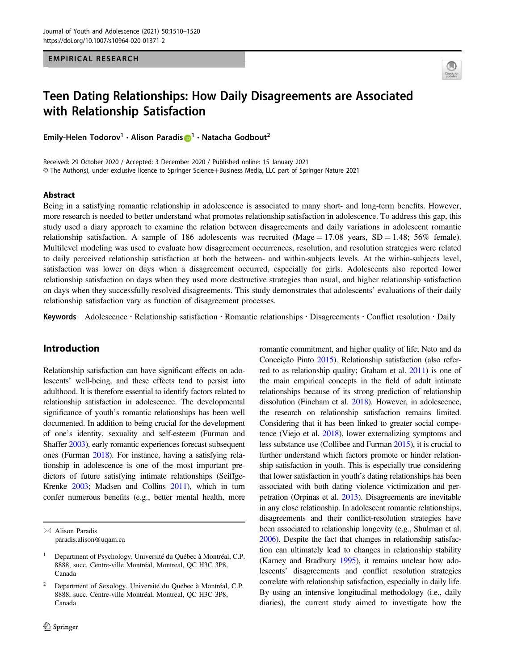EMPIRICAL RESEARCH



# Teen Dating Relationships: How Daily Disagreements are Associated with Relationship Satisfaction

Emily-Helen Todorov<sup>[1](http://orcid.org/0000-0001-9001-0058)</sup> · Alison Paradis D<sup>1</sup> · Natacha Godbout<sup>2</sup>

Received: 29 October 2020 / Accepted: 3 December 2020 / Published online: 15 January 2021 © The Author(s), under exclusive licence to Springer Science+Business Media, LLC part of Springer Nature 2021

#### Abstract

Being in a satisfying romantic relationship in adolescence is associated to many short- and long-term benefits. However, more research is needed to better understand what promotes relationship satisfaction in adolescence. To address this gap, this study used a diary approach to examine the relation between disagreements and daily variations in adolescent romantic relationship satisfaction. A sample of 186 adolescents was recruited (Mage = 17.08 years,  $SD = 1.48$ ; 56% female). Multilevel modeling was used to evaluate how disagreement occurrences, resolution, and resolution strategies were related to daily perceived relationship satisfaction at both the between- and within-subjects levels. At the within-subjects level, satisfaction was lower on days when a disagreement occurred, especially for girls. Adolescents also reported lower relationship satisfaction on days when they used more destructive strategies than usual, and higher relationship satisfaction on days when they successfully resolved disagreements. This study demonstrates that adolescents' evaluations of their daily relationship satisfaction vary as function of disagreement processes.

Keywords Adolescence · Relationship satisfaction · Romantic relationships · Disagreements · Conflict resolution · Daily

# Introduction

Relationship satisfaction can have significant effects on adolescents' well-being, and these effects tend to persist into adulthood. It is therefore essential to identify factors related to relationship satisfaction in adolescence. The developmental significance of youth's romantic relationships has been well documented. In addition to being crucial for the development of one's identity, sexuality and self-esteem (Furman and Shaffer [2003\)](#page-9-0), early romantic experiences forecast subsequent ones (Furman [2018\)](#page-9-0). For instance, having a satisfying relationship in adolescence is one of the most important predictors of future satisfying intimate relationships (Seiffge-Krenke [2003](#page-10-0); Madsen and Collins [2011\)](#page-10-0), which in turn confer numerous benefits (e.g., better mental health, more

romantic commitment, and higher quality of life; Neto and da Conceição Pinto [2015\)](#page-10-0). Relationship satisfaction (also referred to as relationship quality; Graham et al. [2011](#page-9-0)) is one of the main empirical concepts in the field of adult intimate relationships because of its strong prediction of relationship dissolution (Fincham et al. [2018](#page-9-0)). However, in adolescence, the research on relationship satisfaction remains limited. Considering that it has been linked to greater social competence (Viejo et al. [2018\)](#page-10-0), lower externalizing symptoms and less substance use (Collibee and Furman [2015](#page-9-0)), it is crucial to further understand which factors promote or hinder relationship satisfaction in youth. This is especially true considering that lower satisfaction in youth's dating relationships has been associated with both dating violence victimization and perpetration (Orpinas et al. [2013\)](#page-10-0). Disagreements are inevitable in any close relationship. In adolescent romantic relationships, disagreements and their conflict-resolution strategies have been associated to relationship longevity (e.g., Shulman et al. [2006\)](#page-10-0). Despite the fact that changes in relationship satisfaction can ultimately lead to changes in relationship stability (Karney and Bradbury [1995\)](#page-9-0), it remains unclear how adolescents' disagreements and conflict resolution strategies correlate with relationship satisfaction, especially in daily life. By using an intensive longitudinal methodology (i.e., daily diaries), the current study aimed to investigate how the

 $\boxtimes$  Alison Paradis [paradis.alison@uqam.ca](mailto:paradis.alison@uqam.ca)

<sup>1</sup> Department of Psychology, Université du Québec à Montréal, C.P. 8888, succ. Centre-ville Montréal, Montreal, QC H3C 3P8, Canada

<sup>2</sup> Department of Sexology, Université du Québec à Montréal, C.P. 8888, succ. Centre-ville Montréal, Montreal, QC H3C 3P8, Canada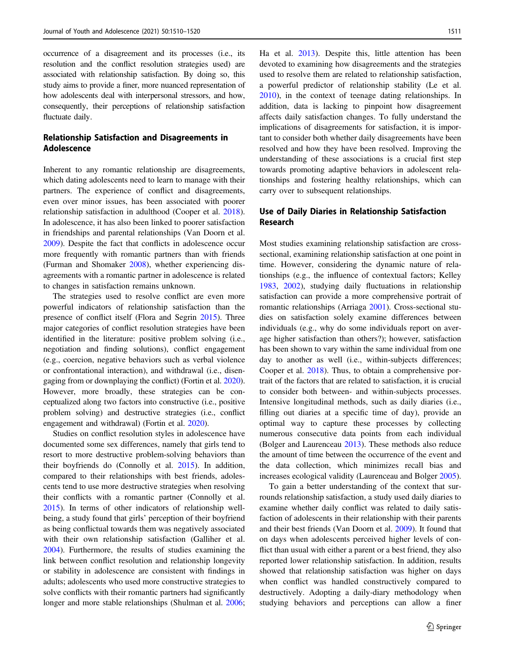occurrence of a disagreement and its processes (i.e., its resolution and the conflict resolution strategies used) are associated with relationship satisfaction. By doing so, this study aims to provide a finer, more nuanced representation of how adolescents deal with interpersonal stressors, and how, consequently, their perceptions of relationship satisfaction fluctuate daily.

# Relationship Satisfaction and Disagreements in Adolescence

Inherent to any romantic relationship are disagreements, which dating adolescents need to learn to manage with their partners. The experience of conflict and disagreements, even over minor issues, has been associated with poorer relationship satisfaction in adulthood (Cooper et al. [2018](#page-9-0)). In adolescence, it has also been linked to poorer satisfaction in friendships and parental relationships (Van Doorn et al. [2009\)](#page-10-0). Despite the fact that conflicts in adolescence occur more frequently with romantic partners than with friends (Furman and Shomaker [2008\)](#page-9-0), whether experiencing disagreements with a romantic partner in adolescence is related to changes in satisfaction remains unknown.

The strategies used to resolve conflict are even more powerful indicators of relationship satisfaction than the presence of conflict itself (Flora and Segrin [2015](#page-9-0)). Three major categories of conflict resolution strategies have been identified in the literature: positive problem solving (i.e., negotiation and finding solutions), conflict engagement (e.g., coercion, negative behaviors such as verbal violence or confrontational interaction), and withdrawal (i.e., disengaging from or downplaying the conflict) (Fortin et al. [2020\)](#page-9-0). However, more broadly, these strategies can be conceptualized along two factors into constructive (i.e., positive problem solving) and destructive strategies (i.e., conflict engagement and withdrawal) (Fortin et al. [2020](#page-9-0)).

Studies on conflict resolution styles in adolescence have documented some sex differences, namely that girls tend to resort to more destructive problem-solving behaviors than their boyfriends do (Connolly et al. [2015\)](#page-9-0). In addition, compared to their relationships with best friends, adolescents tend to use more destructive strategies when resolving their conflicts with a romantic partner (Connolly et al. [2015\)](#page-9-0). In terms of other indicators of relationship wellbeing, a study found that girls' perception of their boyfriend as being conflictual towards them was negatively associated with their own relationship satisfaction (Galliher et al. [2004\)](#page-9-0). Furthermore, the results of studies examining the link between conflict resolution and relationship longevity or stability in adolescence are consistent with findings in adults; adolescents who used more constructive strategies to solve conflicts with their romantic partners had significantly longer and more stable relationships (Shulman et al. [2006](#page-10-0);

Ha et al. [2013\)](#page-9-0). Despite this, little attention has been devoted to examining how disagreements and the strategies used to resolve them are related to relationship satisfaction, a powerful predictor of relationship stability (Le et al. [2010](#page-9-0)), in the context of teenage dating relationships. In addition, data is lacking to pinpoint how disagreement affects daily satisfaction changes. To fully understand the implications of disagreements for satisfaction, it is important to consider both whether daily disagreements have been resolved and how they have been resolved. Improving the understanding of these associations is a crucial first step towards promoting adaptive behaviors in adolescent relationships and fostering healthy relationships, which can carry over to subsequent relationships.

# Use of Daily Diaries in Relationship Satisfaction Research

Most studies examining relationship satisfaction are crosssectional, examining relationship satisfaction at one point in time. However, considering the dynamic nature of relationships (e.g., the influence of contextual factors; Kelley [1983](#page-9-0), [2002\)](#page-9-0), studying daily fluctuations in relationship satisfaction can provide a more comprehensive portrait of romantic relationships (Arriaga [2001\)](#page-9-0). Cross-sectional studies on satisfaction solely examine differences between individuals (e.g., why do some individuals report on average higher satisfaction than others?); however, satisfaction has been shown to vary within the same individual from one day to another as well (i.e., within-subjects differences; Cooper et al. [2018](#page-9-0)). Thus, to obtain a comprehensive portrait of the factors that are related to satisfaction, it is crucial to consider both between- and within-subjects processes. Intensive longitudinal methods, such as daily diaries (i.e., filling out diaries at a specific time of day), provide an optimal way to capture these processes by collecting numerous consecutive data points from each individual (Bolger and Laurenceau [2013](#page-9-0)). These methods also reduce the amount of time between the occurrence of the event and the data collection, which minimizes recall bias and increases ecological validity (Laurenceau and Bolger [2005\)](#page-9-0).

To gain a better understanding of the context that surrounds relationship satisfaction, a study used daily diaries to examine whether daily conflict was related to daily satisfaction of adolescents in their relationship with their parents and their best friends (Van Doorn et al. [2009](#page-10-0)). It found that on days when adolescents perceived higher levels of conflict than usual with either a parent or a best friend, they also reported lower relationship satisfaction. In addition, results showed that relationship satisfaction was higher on days when conflict was handled constructively compared to destructively. Adopting a daily-diary methodology when studying behaviors and perceptions can allow a finer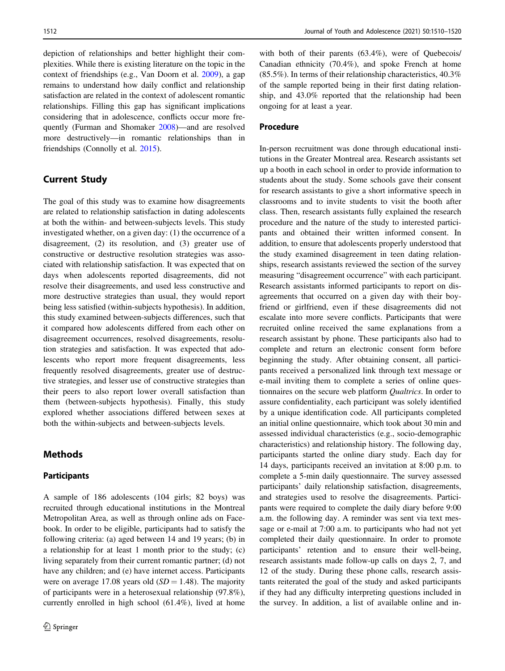depiction of relationships and better highlight their complexities. While there is existing literature on the topic in the context of friendships (e.g., Van Doorn et al. [2009\)](#page-10-0), a gap remains to understand how daily conflict and relationship satisfaction are related in the context of adolescent romantic relationships. Filling this gap has significant implications considering that in adolescence, conflicts occur more frequently (Furman and Shomaker [2008](#page-9-0))—and are resolved more destructively—in romantic relationships than in friendships (Connolly et al. [2015](#page-9-0)).

# Current Study

The goal of this study was to examine how disagreements are related to relationship satisfaction in dating adolescents at both the within- and between-subjects levels. This study investigated whether, on a given day: (1) the occurrence of a disagreement, (2) its resolution, and (3) greater use of constructive or destructive resolution strategies was associated with relationship satisfaction. It was expected that on days when adolescents reported disagreements, did not resolve their disagreements, and used less constructive and more destructive strategies than usual, they would report being less satisfied (within-subjects hypothesis). In addition, this study examined between-subjects differences, such that it compared how adolescents differed from each other on disagreement occurrences, resolved disagreements, resolution strategies and satisfaction. It was expected that adolescents who report more frequent disagreements, less frequently resolved disagreements, greater use of destructive strategies, and lesser use of constructive strategies than their peers to also report lower overall satisfaction than them (between-subjects hypothesis). Finally, this study explored whether associations differed between sexes at both the within-subjects and between-subjects levels.

# Methods

# Participants

A sample of 186 adolescents (104 girls; 82 boys) was recruited through educational institutions in the Montreal Metropolitan Area, as well as through online ads on Facebook. In order to be eligible, participants had to satisfy the following criteria: (a) aged between 14 and 19 years; (b) in a relationship for at least 1 month prior to the study; (c) living separately from their current romantic partner; (d) not have any children; and (e) have internet access. Participants were on average 17.08 years old  $(SD = 1.48)$ . The majority of participants were in a heterosexual relationship (97.8%), currently enrolled in high school (61.4%), lived at home

with both of their parents (63.4%), were of Quebecois/ Canadian ethnicity (70.4%), and spoke French at home (85.5%). In terms of their relationship characteristics, 40.3% of the sample reported being in their first dating relationship, and 43.0% reported that the relationship had been ongoing for at least a year.

#### Procedure

In-person recruitment was done through educational institutions in the Greater Montreal area. Research assistants set up a booth in each school in order to provide information to students about the study. Some schools gave their consent for research assistants to give a short informative speech in classrooms and to invite students to visit the booth after class. Then, research assistants fully explained the research procedure and the nature of the study to interested participants and obtained their written informed consent. In addition, to ensure that adolescents properly understood that the study examined disagreement in teen dating relationships, research assistants reviewed the section of the survey measuring "disagreement occurrence" with each participant. Research assistants informed participants to report on disagreements that occurred on a given day with their boyfriend or girlfriend, even if these disagreements did not escalate into more severe conflicts. Participants that were recruited online received the same explanations from a research assistant by phone. These participants also had to complete and return an electronic consent form before beginning the study. After obtaining consent, all participants received a personalized link through text message or e-mail inviting them to complete a series of online questionnaires on the secure web platform Qualtrics. In order to assure confidentiality, each participant was solely identified by a unique identification code. All participants completed an initial online questionnaire, which took about 30 min and assessed individual characteristics (e.g., socio-demographic characteristics) and relationship history. The following day, participants started the online diary study. Each day for 14 days, participants received an invitation at 8:00 p.m. to complete a 5-min daily questionnaire. The survey assessed participants' daily relationship satisfaction, disagreements, and strategies used to resolve the disagreements. Participants were required to complete the daily diary before 9:00 a.m. the following day. A reminder was sent via text message or e-mail at 7:00 a.m. to participants who had not yet completed their daily questionnaire. In order to promote participants' retention and to ensure their well-being, research assistants made follow-up calls on days 2, 7, and 12 of the study. During these phone calls, research assistants reiterated the goal of the study and asked participants if they had any difficulty interpreting questions included in the survey. In addition, a list of available online and in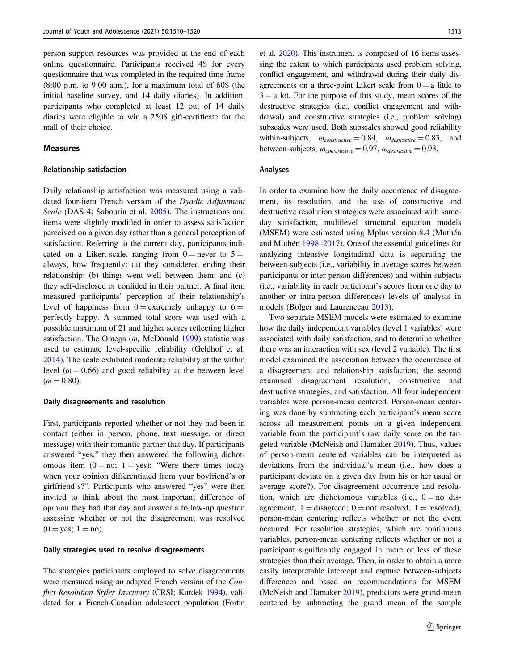person support resources was provided at the end of each online questionnaire. Participants received 4\$ for every questionnaire that was completed in the required time frame  $(8:00 \text{ p.m. to } 9:00 \text{ a.m.})$ , for a maximum total of 60\$ (the initial baseline survey, and 14 daily diaries). In addition, participants who completed at least 12 out of 14 daily diaries were eligible to win a 250\$ gift-certificate for the mall of their choice.

## Measures

#### Relationship satisfaction

Daily relationship satisfaction was measured using a validated four-item French version of the Dyadic Adjustment Scale (DAS-4; Sabourin et al. [2005\)](#page-10-0). The instructions and items were slightly modified in order to assess satisfaction perceived on a given day rather than a general perception of satisfaction. Referring to the current day, participants indicated on a Likert-scale, ranging from  $0 =$  never to  $5 =$ always, how frequently: (a) they considered ending their relationship; (b) things went well between them; and (c) they self-disclosed or confided in their partner. A final item measured participants' perception of their relationship's level of happiness from  $0 =$  extremely unhappy to  $6 =$ perfectly happy. A summed total score was used with a possible maximum of 21 and higher scores reflecting higher satisfaction. The Omega ( $\omega$ ; McDonald [1999](#page-10-0)) statistic was used to estimate level-specific reliability (Geldhof et al. [2014\)](#page-9-0). The scale exhibited moderate reliability at the within level ( $\omega$  = 0.66) and good reliability at the between level  $(\omega = 0.80)$ .

#### Daily disagreements and resolution

First, participants reported whether or not they had been in contact (either in person, phone, text message, or direct message) with their romantic partner that day. If participants answered "yes," they then answered the following dichotomous item  $(0 = no; 1 = yes)$ : "Were there times today when your opinion differentiated from your boyfriend's or girlfriend's?". Participants who answered "yes" were then invited to think about the most important difference of opinion they had that day and answer a follow-up question assessing whether or not the disagreement was resolved  $(0 = yes; 1 = no).$ 

#### Daily strategies used to resolve disagreements

The strategies participants employed to solve disagreements were measured using an adapted French version of the Con-flict Resolution Styles Inventory (CRSI; Kurdek [1994\)](#page-9-0), validated for a French-Canadian adolescent population (Fortin et al. [2020](#page-9-0)). This instrument is composed of 16 items assessing the extent to which participants used problem solving, conflict engagement, and withdrawal during their daily disagreements on a three-point Likert scale from  $0 = a$  little to  $3 = a$  lot. For the purpose of this study, mean scores of the destructive strategies (i.e., conflict engagement and withdrawal) and constructive strategies (i.e., problem solving) subscales were used. Both subscales showed good reliability within-subjects,  $\omega_{constructive} = 0.84$ ,  $\omega_{destructive} = 0.83$ , and between-subjects,  $\omega_{constructive} = 0.97$ ,  $\omega_{destructive} = 0.93$ .

#### Analyses

In order to examine how the daily occurrence of disagreement, its resolution, and the use of constructive and destructive resolution strategies were associated with sameday satisfaction, multilevel structural equation models (MSEM) were estimated using Mplus version 8.4 (Muthén and Muthén [1998](#page-10-0)–[2017](#page-10-0)). One of the essential guidelines for analyzing intensive longitudinal data is separating the between-subjects (i.e., variability in average scores between participants or inter-person differences) and within-subjects (i.e., variability in each participant's scores from one day to another or intra-person differences) levels of analysis in models (Bolger and Laurenceau [2013\)](#page-9-0).

Two separate MSEM models were estimated to examine how the daily independent variables (level 1 variables) were associated with daily satisfaction, and to determine whether there was an interaction with sex (level 2 variable). The first model examined the association between the occurrence of a disagreement and relationship satisfaction; the second examined disagreement resolution, constructive and destructive strategies, and satisfaction. All four independent variables were person-mean centered. Person-mean centering was done by subtracting each participant's mean score across all measurement points on a given independent variable from the participant's raw daily score on the targeted variable (McNeish and Hamaker [2019\)](#page-10-0). Thus, values of person-mean centered variables can be interpreted as deviations from the individual's mean (i.e., how does a participant deviate on a given day from his or her usual or average score?). For disagreement occurrence and resolution, which are dichotomous variables (i.e.,  $0 =$  no disagreement,  $1 =$  disagreed;  $0 =$  not resolved,  $1 =$  resolved), person-mean centering reflects whether or not the event occurred. For resolution strategies, which are continuous variables, person-mean centering reflects whether or not a participant significantly engaged in more or less of these strategies than their average. Then, in order to obtain a more easily interpretable intercept and capture between-subjects differences and based on recommendations for MSEM (McNeish and Hamaker [2019](#page-10-0)), predictors were grand-mean centered by subtracting the grand mean of the sample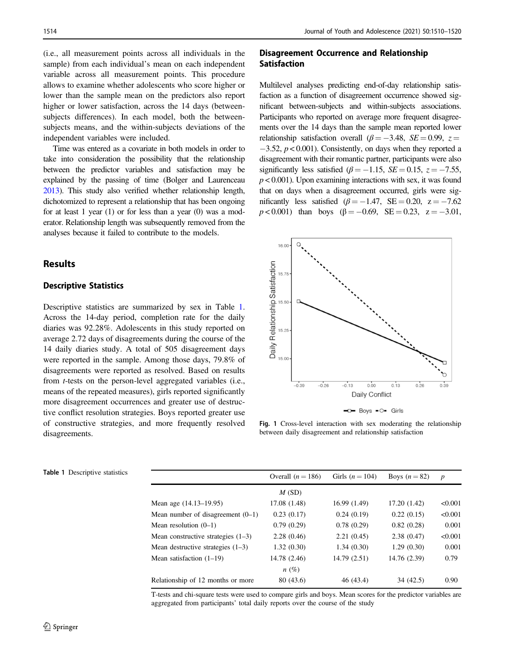<span id="page-4-0"></span>(i.e., all measurement points across all individuals in the sample) from each individual's mean on each independent variable across all measurement points. This procedure allows to examine whether adolescents who score higher or lower than the sample mean on the predictors also report higher or lower satisfaction, across the 14 days (betweensubjects differences). In each model, both the betweensubjects means, and the within-subjects deviations of the independent variables were included.

Time was entered as a covariate in both models in order to take into consideration the possibility that the relationship between the predictor variables and satisfaction may be explained by the passing of time (Bolger and Laurenceau [2013](#page-9-0)). This study also verified whether relationship length, dichotomized to represent a relationship that has been ongoing for at least 1 year (1) or for less than a year (0) was a moderator. Relationship length was subsequently removed from the analyses because it failed to contribute to the models.

# Results

# Descriptive Statistics

Descriptive statistics are summarized by sex in Table 1. Across the 14-day period, completion rate for the daily diaries was 92.28%. Adolescents in this study reported on average 2.72 days of disagreements during the course of the 14 daily diaries study. A total of 505 disagreement days were reported in the sample. Among those days, 79.8% of disagreements were reported as resolved. Based on results from *t*-tests on the person-level aggregated variables (i.e., means of the repeated measures), girls reported significantly more disagreement occurrences and greater use of destructive conflict resolution strategies. Boys reported greater use of constructive strategies, and more frequently resolved disagreements.

## Disagreement Occurrence and Relationship Satisfaction

Multilevel analyses predicting end-of-day relationship satisfaction as a function of disagreement occurrence showed significant between-subjects and within-subjects associations. Participants who reported on average more frequent disagreements over the 14 days than the sample mean reported lower relationship satisfaction overall ( $\beta = -3.48$ ,  $SE = 0.99$ , z =  $-3.52$ ,  $p < 0.001$ ). Consistently, on days when they reported a disagreement with their romantic partner, participants were also significantly less satisfied ( $\beta$  = −1.15, SE = 0.15, z = −7.55,  $p < 0.001$ ). Upon examining interactions with sex, it was found that on days when a disagreement occurred, girls were significantly less satisfied ( $\beta$  = −1.47, SE = 0.20, z = −7.62  $p < 0.001$ ) than boys ( $\beta = -0.69$ ,  $SE = 0.23$ ,  $z = -3.01$ ,



-0- Boys -0- Girls

Fig. 1 Cross-level interaction with sex moderating the relationship between daily disagreement and relationship satisfaction

| <b>Table 1</b> Descriptive statistics |                                      | Overall $(n = 186)$ | Girls $(n = 104)$ | Boys $(n=82)$ | $\boldsymbol{p}$ |
|---------------------------------------|--------------------------------------|---------------------|-------------------|---------------|------------------|
|                                       |                                      | M(SD)               |                   |               |                  |
|                                       | Mean age (14.13–19.95)               | 17.08 (1.48)        | 16.99(1.49)       | 17.20 (1.42)  | < 0.001          |
|                                       | Mean number of disagreement $(0-1)$  | 0.23(0.17)          | 0.24(0.19)        | 0.22(0.15)    | < 0.001          |
|                                       | Mean resolution $(0-1)$              | 0.79(0.29)          | 0.78(0.29)        | 0.82(0.28)    | 0.001            |
|                                       | Mean constructive strategies $(1-3)$ | 2.28(0.46)          | 2.21(0.45)        | 2.38(0.47)    | < 0.001          |
|                                       | Mean destructive strategies $(1-3)$  | 1.32(0.30)          | 1.34(0.30)        | 1.29(0.30)    | 0.001            |
|                                       | Mean satisfaction $(1-19)$           | 14.78 (2.46)        | 14.79(2.51)       | 14.76 (2.39)  | 0.79             |
|                                       |                                      | $n(\%)$             |                   |               |                  |
|                                       | Relationship of 12 months or more    | 80 (43.6)           | 46 (43.4)         | 34(42.5)      | 0.90             |

T-tests and chi-square tests were used to compare girls and boys. Mean scores for the predictor variables are aggregated from participants' total daily reports over the course of the study

| <b>Table 1</b> Descriptive statistics |
|---------------------------------------|
|                                       |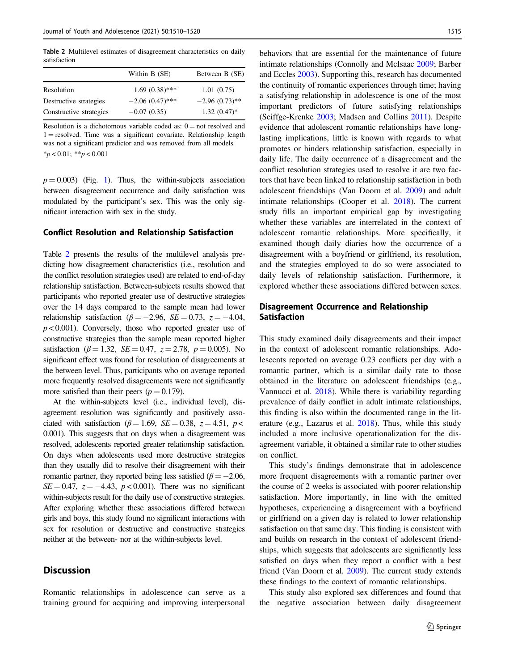Table 2 Multilevel estimates of disagreement characteristics on daily satisfaction

| Within B (SE)     | Between B (SE)   |
|-------------------|------------------|
| $1.69(0.38)$ ***  | 1.01(0.75)       |
| $-2.06(0.47)$ *** | $-2.96(0.73)$ ** |
| $-0.07(0.35)$     | $1.32(0.47)$ *   |
|                   |                  |

Resolution is a dichotomous variable coded as:  $0 =$  not resolved and  $1 =$  resolved. Time was a significant covariate. Relationship length was not a significant predictor and was removed from all models  $*_{p}$  < 0.01;  $*_{p}$  < 0.001

 $p = 0.003$ ) (Fig. [1](#page-4-0)). Thus, the within-subjects association between disagreement occurrence and daily satisfaction was modulated by the participant's sex. This was the only significant interaction with sex in the study.

#### Conflict Resolution and Relationship Satisfaction

Table 2 presents the results of the multilevel analysis predicting how disagreement characteristics (i.e., resolution and the conflict resolution strategies used) are related to end-of-day relationship satisfaction. Between-subjects results showed that participants who reported greater use of destructive strategies over the 14 days compared to the sample mean had lower relationship satisfaction ( $\beta = -2.96$ ,  $SE = 0.73$ ,  $z = -4.04$ ,  $p < 0.001$ ). Conversely, those who reported greater use of constructive strategies than the sample mean reported higher satisfaction ( $\beta = 1.32$ ,  $SE = 0.47$ ,  $z = 2.78$ ,  $p = 0.005$ ). No significant effect was found for resolution of disagreements at the between level. Thus, participants who on average reported more frequently resolved disagreements were not significantly more satisfied than their peers ( $p = 0.179$ ).

At the within-subjects level (i.e., individual level), disagreement resolution was significantly and positively associated with satisfaction ( $\beta = 1.69$ ,  $SE = 0.38$ ,  $z = 4.51$ ,  $p <$ 0.001). This suggests that on days when a disagreement was resolved, adolescents reported greater relationship satisfaction. On days when adolescents used more destructive strategies than they usually did to resolve their disagreement with their romantic partner, they reported being less satisfied ( $\beta = -2.06$ ,  $SE = 0.47$ ,  $z = -4.43$ ,  $p < 0.001$ ). There was no significant within-subjects result for the daily use of constructive strategies. After exploring whether these associations differed between girls and boys, this study found no significant interactions with sex for resolution or destructive and constructive strategies neither at the between- nor at the within-subjects level.

# **Discussion**

Romantic relationships in adolescence can serve as a training ground for acquiring and improving interpersonal

behaviors that are essential for the maintenance of future intimate relationships (Connolly and McIsaac [2009;](#page-9-0) Barber and Eccles [2003](#page-9-0)). Supporting this, research has documented the continuity of romantic experiences through time; having a satisfying relationship in adolescence is one of the most important predictors of future satisfying relationships (Seiffge-Krenke [2003;](#page-10-0) Madsen and Collins [2011\)](#page-10-0). Despite evidence that adolescent romantic relationships have longlasting implications, little is known with regards to what promotes or hinders relationship satisfaction, especially in daily life. The daily occurrence of a disagreement and the conflict resolution strategies used to resolve it are two factors that have been linked to relationship satisfaction in both adolescent friendships (Van Doorn et al. [2009\)](#page-10-0) and adult intimate relationships (Cooper et al. [2018\)](#page-9-0). The current study fills an important empirical gap by investigating whether these variables are interrelated in the context of adolescent romantic relationships. More specifically, it examined though daily diaries how the occurrence of a disagreement with a boyfriend or girlfriend, its resolution, and the strategies employed to do so were associated to daily levels of relationship satisfaction. Furthermore, it explored whether these associations differed between sexes.

## Disagreement Occurrence and Relationship Satisfaction

This study examined daily disagreements and their impact in the context of adolescent romantic relationships. Adolescents reported on average 0.23 conflicts per day with a romantic partner, which is a similar daily rate to those obtained in the literature on adolescent friendships (e.g., Vannucci et al. [2018\)](#page-10-0). While there is variability regarding prevalence of daily conflict in adult intimate relationships, this finding is also within the documented range in the literature (e.g., Lazarus et al. [2018\)](#page-9-0). Thus, while this study included a more inclusive operationalization for the disagreement variable, it obtained a similar rate to other studies on conflict.

This study's findings demonstrate that in adolescence more frequent disagreements with a romantic partner over the course of 2 weeks is associated with poorer relationship satisfaction. More importantly, in line with the emitted hypotheses, experiencing a disagreement with a boyfriend or girlfriend on a given day is related to lower relationship satisfaction on that same day. This finding is consistent with and builds on research in the context of adolescent friendships, which suggests that adolescents are significantly less satisfied on days when they report a conflict with a best friend (Van Doorn et al. [2009](#page-10-0)). The current study extends these findings to the context of romantic relationships.

This study also explored sex differences and found that the negative association between daily disagreement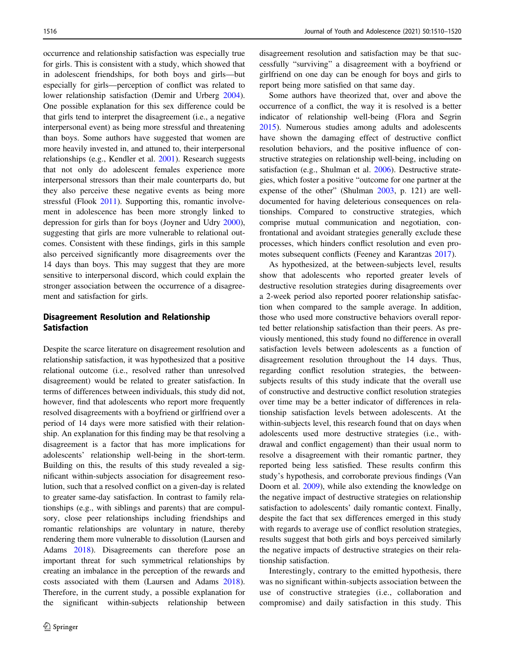occurrence and relationship satisfaction was especially true for girls. This is consistent with a study, which showed that in adolescent friendships, for both boys and girls—but especially for girls—perception of conflict was related to lower relationship satisfaction (Demir and Urberg [2004](#page-9-0)). One possible explanation for this sex difference could be that girls tend to interpret the disagreement (i.e., a negative interpersonal event) as being more stressful and threatening than boys. Some authors have suggested that women are more heavily invested in, and attuned to, their interpersonal relationships (e.g., Kendler et al. [2001\)](#page-9-0). Research suggests that not only do adolescent females experience more interpersonal stressors than their male counterparts do, but they also perceive these negative events as being more stressful (Flook [2011](#page-9-0)). Supporting this, romantic involvement in adolescence has been more strongly linked to depression for girls than for boys (Joyner and Udry [2000](#page-9-0)), suggesting that girls are more vulnerable to relational outcomes. Consistent with these findings, girls in this sample also perceived significantly more disagreements over the 14 days than boys. This may suggest that they are more sensitive to interpersonal discord, which could explain the stronger association between the occurrence of a disagreement and satisfaction for girls.

## Disagreement Resolution and Relationship Satisfaction

Despite the scarce literature on disagreement resolution and relationship satisfaction, it was hypothesized that a positive relational outcome (i.e., resolved rather than unresolved disagreement) would be related to greater satisfaction. In terms of differences between individuals, this study did not, however, find that adolescents who report more frequently resolved disagreements with a boyfriend or girlfriend over a period of 14 days were more satisfied with their relationship. An explanation for this finding may be that resolving a disagreement is a factor that has more implications for adolescents' relationship well-being in the short-term. Building on this, the results of this study revealed a significant within-subjects association for disagreement resolution, such that a resolved conflict on a given-day is related to greater same-day satisfaction. In contrast to family relationships (e.g., with siblings and parents) that are compulsory, close peer relationships including friendships and romantic relationships are voluntary in nature, thereby rendering them more vulnerable to dissolution (Laursen and Adams [2018](#page-9-0)). Disagreements can therefore pose an important threat for such symmetrical relationships by creating an imbalance in the perception of the rewards and costs associated with them (Laursen and Adams [2018](#page-9-0)). Therefore, in the current study, a possible explanation for the significant within-subjects relationship between

disagreement resolution and satisfaction may be that successfully "surviving" a disagreement with a boyfriend or girlfriend on one day can be enough for boys and girls to report being more satisfied on that same day.

Some authors have theorized that, over and above the occurrence of a conflict, the way it is resolved is a better indicator of relationship well-being (Flora and Segrin [2015](#page-9-0)). Numerous studies among adults and adolescents have shown the damaging effect of destructive conflict resolution behaviors, and the positive influence of constructive strategies on relationship well-being, including on satisfaction (e.g., Shulman et al. [2006](#page-10-0)). Destructive strategies, which foster a positive "outcome for one partner at the expense of the other" (Shulman [2003](#page-10-0), p. 121) are welldocumented for having deleterious consequences on relationships. Compared to constructive strategies, which comprise mutual communication and negotiation, confrontational and avoidant strategies generally exclude these processes, which hinders conflict resolution and even promotes subsequent conflicts (Feeney and Karantzas [2017\)](#page-9-0).

As hypothesized, at the between-subjects level, results show that adolescents who reported greater levels of destructive resolution strategies during disagreements over a 2-week period also reported poorer relationship satisfaction when compared to the sample average. In addition, those who used more constructive behaviors overall reported better relationship satisfaction than their peers. As previously mentioned, this study found no difference in overall satisfaction levels between adolescents as a function of disagreement resolution throughout the 14 days. Thus, regarding conflict resolution strategies, the betweensubjects results of this study indicate that the overall use of constructive and destructive conflict resolution strategies over time may be a better indicator of differences in relationship satisfaction levels between adolescents. At the within-subjects level, this research found that on days when adolescents used more destructive strategies (i.e., withdrawal and conflict engagement) than their usual norm to resolve a disagreement with their romantic partner, they reported being less satisfied. These results confirm this study's hypothesis, and corroborate previous findings (Van Doorn et al. [2009](#page-10-0)), while also extending the knowledge on the negative impact of destructive strategies on relationship satisfaction to adolescents' daily romantic context. Finally, despite the fact that sex differences emerged in this study with regards to average use of conflict resolution strategies, results suggest that both girls and boys perceived similarly the negative impacts of destructive strategies on their relationship satisfaction.

Interestingly, contrary to the emitted hypothesis, there was no significant within-subjects association between the use of constructive strategies (i.e., collaboration and compromise) and daily satisfaction in this study. This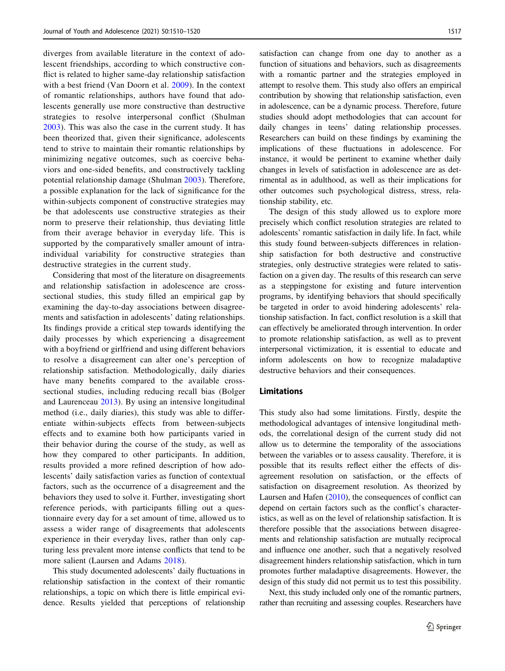diverges from available literature in the context of adolescent friendships, according to which constructive conflict is related to higher same-day relationship satisfaction with a best friend (Van Doorn et al. [2009](#page-10-0)). In the context of romantic relationships, authors have found that adolescents generally use more constructive than destructive strategies to resolve interpersonal conflict (Shulman [2003\)](#page-10-0). This was also the case in the current study. It has been theorized that, given their significance, adolescents tend to strive to maintain their romantic relationships by minimizing negative outcomes, such as coercive behaviors and one-sided benefits, and constructively tackling potential relationship damage (Shulman [2003\)](#page-10-0). Therefore, a possible explanation for the lack of significance for the within-subjects component of constructive strategies may be that adolescents use constructive strategies as their norm to preserve their relationship, thus deviating little from their average behavior in everyday life. This is supported by the comparatively smaller amount of intraindividual variability for constructive strategies than destructive strategies in the current study.

Considering that most of the literature on disagreements and relationship satisfaction in adolescence are crosssectional studies, this study filled an empirical gap by examining the day-to-day associations between disagreements and satisfaction in adolescents' dating relationships. Its findings provide a critical step towards identifying the daily processes by which experiencing a disagreement with a boyfriend or girlfriend and using different behaviors to resolve a disagreement can alter one's perception of relationship satisfaction. Methodologically, daily diaries have many benefits compared to the available crosssectional studies, including reducing recall bias (Bolger and Laurenceau [2013](#page-9-0)). By using an intensive longitudinal method (i.e., daily diaries), this study was able to differentiate within-subjects effects from between-subjects effects and to examine both how participants varied in their behavior during the course of the study, as well as how they compared to other participants. In addition, results provided a more refined description of how adolescents' daily satisfaction varies as function of contextual factors, such as the occurrence of a disagreement and the behaviors they used to solve it. Further, investigating short reference periods, with participants filling out a questionnaire every day for a set amount of time, allowed us to assess a wider range of disagreements that adolescents experience in their everyday lives, rather than only capturing less prevalent more intense conflicts that tend to be more salient (Laursen and Adams [2018](#page-9-0)).

This study documented adolescents' daily fluctuations in relationship satisfaction in the context of their romantic relationships, a topic on which there is little empirical evidence. Results yielded that perceptions of relationship

satisfaction can change from one day to another as a function of situations and behaviors, such as disagreements with a romantic partner and the strategies employed in attempt to resolve them. This study also offers an empirical contribution by showing that relationship satisfaction, even in adolescence, can be a dynamic process. Therefore, future studies should adopt methodologies that can account for daily changes in teens' dating relationship processes. Researchers can build on these findings by examining the implications of these fluctuations in adolescence. For instance, it would be pertinent to examine whether daily changes in levels of satisfaction in adolescence are as detrimental as in adulthood, as well as their implications for other outcomes such psychological distress, stress, relationship stability, etc.

The design of this study allowed us to explore more precisely which conflict resolution strategies are related to adolescents' romantic satisfaction in daily life. In fact, while this study found between-subjects differences in relationship satisfaction for both destructive and constructive strategies, only destructive strategies were related to satisfaction on a given day. The results of this research can serve as a steppingstone for existing and future intervention programs, by identifying behaviors that should specifically be targeted in order to avoid hindering adolescents' relationship satisfaction. In fact, conflict resolution is a skill that can effectively be ameliorated through intervention. In order to promote relationship satisfaction, as well as to prevent interpersonal victimization, it is essential to educate and inform adolescents on how to recognize maladaptive destructive behaviors and their consequences.

#### Limitations

This study also had some limitations. Firstly, despite the methodological advantages of intensive longitudinal methods, the correlational design of the current study did not allow us to determine the temporality of the associations between the variables or to assess causality. Therefore, it is possible that its results reflect either the effects of disagreement resolution on satisfaction, or the effects of satisfaction on disagreement resolution. As theorized by Laursen and Hafen [\(2010](#page-9-0)), the consequences of conflict can depend on certain factors such as the conflict's characteristics, as well as on the level of relationship satisfaction. It is therefore possible that the associations between disagreements and relationship satisfaction are mutually reciprocal and influence one another, such that a negatively resolved disagreement hinders relationship satisfaction, which in turn promotes further maladaptive disagreements. However, the design of this study did not permit us to test this possibility.

Next, this study included only one of the romantic partners, rather than recruiting and assessing couples. Researchers have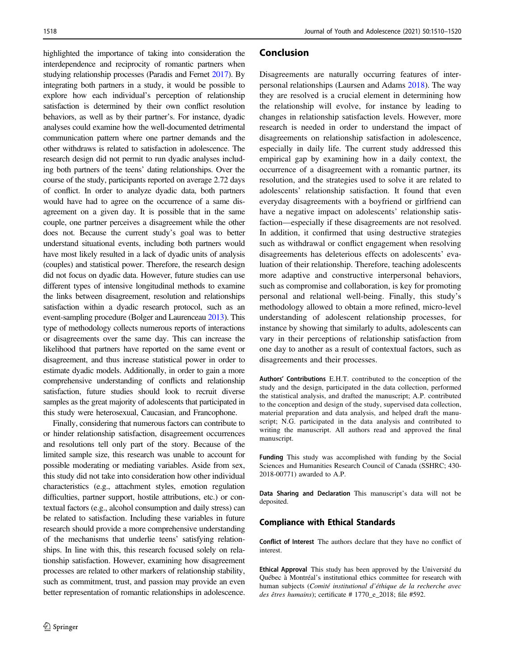highlighted the importance of taking into consideration the interdependence and reciprocity of romantic partners when studying relationship processes (Paradis and Fernet [2017](#page-10-0)). By integrating both partners in a study, it would be possible to explore how each individual's perception of relationship satisfaction is determined by their own conflict resolution behaviors, as well as by their partner's. For instance, dyadic analyses could examine how the well-documented detrimental communication pattern where one partner demands and the other withdraws is related to satisfaction in adolescence. The research design did not permit to run dyadic analyses including both partners of the teens' dating relationships. Over the course of the study, participants reported on average 2.72 days of conflict. In order to analyze dyadic data, both partners would have had to agree on the occurrence of a same disagreement on a given day. It is possible that in the same couple, one partner perceives a disagreement while the other does not. Because the current study's goal was to better understand situational events, including both partners would have most likely resulted in a lack of dyadic units of analysis (couples) and statistical power. Therefore, the research design did not focus on dyadic data. However, future studies can use different types of intensive longitudinal methods to examine the links between disagreement, resolution and relationships satisfaction within a dyadic research protocol, such as an event-sampling procedure (Bolger and Laurenceau [2013](#page-9-0)). This type of methodology collects numerous reports of interactions or disagreements over the same day. This can increase the likelihood that partners have reported on the same event or disagreement, and thus increase statistical power in order to estimate dyadic models. Additionally, in order to gain a more comprehensive understanding of conflicts and relationship satisfaction, future studies should look to recruit diverse samples as the great majority of adolescents that participated in this study were heterosexual, Caucasian, and Francophone.

Finally, considering that numerous factors can contribute to or hinder relationship satisfaction, disagreement occurrences and resolutions tell only part of the story. Because of the limited sample size, this research was unable to account for possible moderating or mediating variables. Aside from sex, this study did not take into consideration how other individual characteristics (e.g., attachment styles, emotion regulation difficulties, partner support, hostile attributions, etc.) or contextual factors (e.g., alcohol consumption and daily stress) can be related to satisfaction. Including these variables in future research should provide a more comprehensive understanding of the mechanisms that underlie teens' satisfying relationships. In line with this, this research focused solely on relationship satisfaction. However, examining how disagreement processes are related to other markers of relationship stability, such as commitment, trust, and passion may provide an even better representation of romantic relationships in adolescence.

#### Conclusion

Disagreements are naturally occurring features of interpersonal relationships (Laursen and Adams [2018](#page-9-0)). The way they are resolved is a crucial element in determining how the relationship will evolve, for instance by leading to changes in relationship satisfaction levels. However, more research is needed in order to understand the impact of disagreements on relationship satisfaction in adolescence, especially in daily life. The current study addressed this empirical gap by examining how in a daily context, the occurrence of a disagreement with a romantic partner, its resolution, and the strategies used to solve it are related to adolescents' relationship satisfaction. It found that even everyday disagreements with a boyfriend or girlfriend can have a negative impact on adolescents' relationship satisfaction—especially if these disagreements are not resolved. In addition, it confirmed that using destructive strategies such as withdrawal or conflict engagement when resolving disagreements has deleterious effects on adolescents' evaluation of their relationship. Therefore, teaching adolescents more adaptive and constructive interpersonal behaviors, such as compromise and collaboration, is key for promoting personal and relational well-being. Finally, this study's methodology allowed to obtain a more refined, micro-level understanding of adolescent relationship processes, for instance by showing that similarly to adults, adolescents can vary in their perceptions of relationship satisfaction from one day to another as a result of contextual factors, such as disagreements and their processes.

Authors' Contributions E.H.T. contributed to the conception of the study and the design, participated in the data collection, performed the statistical analysis, and drafted the manuscript; A.P. contributed to the conception and design of the study, supervised data collection, material preparation and data analysis, and helped draft the manuscript; N.G. participated in the data analysis and contributed to writing the manuscript. All authors read and approved the final manuscript.

Funding This study was accomplished with funding by the Social Sciences and Humanities Research Council of Canada (SSHRC; 430- 2018-00771) awarded to A.P.

Data Sharing and Declaration This manuscript's data will not be deposited.

#### Compliance with Ethical Standards

Conflict of Interest The authors declare that they have no conflict of interest.

Ethical Approval This study has been approved by the Université du Québec à Montréal's institutional ethics committee for research with human subjects (Comité institutional d'éthique de la recherche avec des êtres humains); certificate # 1770\_e\_2018; file #592.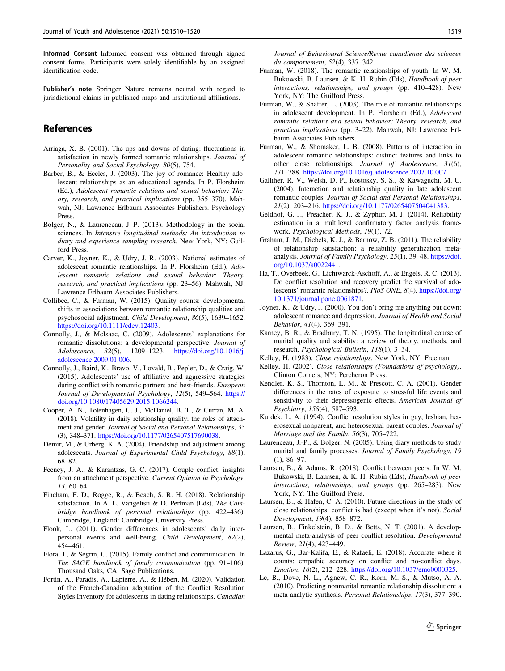<span id="page-9-0"></span>Informed Consent Informed consent was obtained through signed consent forms. Participants were solely identifiable by an assigned identification code.

Publisher's note Springer Nature remains neutral with regard to jurisdictional claims in published maps and institutional affiliations.

# References

- Arriaga, X. B. (2001). The ups and downs of dating: fluctuations in satisfaction in newly formed romantic relationships. Journal of Personality and Social Psychology, 80(5), 754.
- Barber, B., & Eccles, J. (2003). The joy of romance: Healthy adolescent relationships as an educational agenda. In P. Florsheim (Ed.), Adolescent romantic relations and sexual behavior: Theory, research, and practical implications (pp. 355–370). Mahwah, NJ: Lawrence Erlbaum Associates Publishers. Psychology Press.
- Bolger, N., & Laurenceau, J.-P. (2013). Methodology in the social sciences. In Intensive longitudinal methods: An introduction to diary and experience sampling research. New York, NY: Guilford Press.
- Carver, K., Joyner, K., & Udry, J. R. (2003). National estimates of adolescent romantic relationships. In P. Florsheim (Ed.), Adolescent romantic relations and sexual behavior: Theory, research, and practical implications (pp. 23–56). Mahwah, NJ: Lawrence Erlbaum Associates Publishers.
- Collibee, C., & Furman, W. (2015). Quality counts: developmental shifts in associations between romantic relationship qualities and psychosocial adjustment. Child Development, 86(5), 1639–1652. [https://doi.org/10.1111/cdev.12403.](https://doi.org/10.1111/cdev.12403)
- Connolly, J., & McIsaac, C. (2009). Adolescents' explanations for romantic dissolutions: a developmental perspective. Journal of Adolescence, 32(5), 1209–1223. [https://doi.org/10.1016/j.](https://doi.org/10.1016/j.adolescence.2009.01.006) [adolescence.2009.01.006](https://doi.org/10.1016/j.adolescence.2009.01.006).
- Connolly, J., Baird, K., Bravo, V., Lovald, B., Pepler, D., & Craig, W. (2015). Adolescents' use of affiliative and aggressive strategies during conflict with romantic partners and best-friends. European Journal of Developmental Psychology, 12(5), 549–564. [https://](https://doi.org/10.1080/17405629.2015.1066244) [doi.org/10.1080/17405629.2015.1066244.](https://doi.org/10.1080/17405629.2015.1066244)
- Cooper, A. N., Totenhagen, C. J., McDaniel, B. T., & Curran, M. A. (2018). Volatility in daily relationship quality: the roles of attachment and gender. Journal of Social and Personal Relationships, 35 (3), 348–371. [https://doi.org/10.1177/0265407517690038.](https://doi.org/10.1177/0265407517690038)
- Demir, M., & Urberg, K. A. (2004). Friendship and adjustment among adolescents. Journal of Experimental Child Psychology, 88(1), 68–82.
- Feeney, J. A., & Karantzas, G. C. (2017). Couple conflict: insights from an attachment perspective. Current Opinion in Psychology, 13, 60–64.
- Fincham, F. D., Rogge, R., & Beach, S. R. H. (2018). Relationship satisfaction. In A. L. Vangelisti & D. Perlman (Eds), The Cambridge handbook of personal relationships (pp. 422–436). Cambridge, England: Cambridge University Press.
- Flook, L. (2011). Gender differences in adolescents' daily interpersonal events and well-being. Child Development, 82(2), 454–461.
- Flora, J., & Segrin, C. (2015). Family conflict and communication. In The SAGE handbook of family communication (pp. 91–106). Thousand Oaks, CA: Sage Publications.
- Fortin, A., Paradis, A., Lapierre, A., & Hébert, M. (2020). Validation of the French-Canadian adaptation of the Conflict Resolution Styles Inventory for adolescents in dating relationships. Canadian

Journal of Behavioural Science/Revue canadienne des sciences du comportement, 52(4), 337–342.

- Furman, W. (2018). The romantic relationships of youth. In W. M. Bukowski, B. Laursen, & K. H. Rubin (Eds), Handbook of peer interactions, relationships, and groups (pp. 410–428). New York, NY: The Guilford Press.
- Furman, W., & Shaffer, L. (2003). The role of romantic relationships in adolescent development. In P. Florsheim (Ed.), Adolescent romantic relations and sexual behavior: Theory, research, and practical implications (pp. 3–22). Mahwah, NJ: Lawrence Erlbaum Associates Publishers.
- Furman, W., & Shomaker, L. B. (2008). Patterns of interaction in adolescent romantic relationships: distinct features and links to other close relationships. Journal of Adolescence, 31(6), 771–788. [https://doi.org/10.1016/j.adolescence.2007.10.007.](https://doi.org/10.1016/j.adolescence.2007.10.007)
- Galliher, R. V., Welsh, D. P., Rostosky, S. S., & Kawaguchi, M. C. (2004). Interaction and relationship quality in late adolescent romantic couples. Journal of Social and Personal Relationships, 21(2), 203–216. <https://doi.org/10.1177/0265407504041383>.
- Geldhof, G. J., Preacher, K. J., & Zyphur, M. J. (2014). Reliability estimation in a multilevel confirmatory factor analysis framework. Psychological Methods, 19(1), 72.
- Graham, J. M., Diebels, K. J., & Barnow, Z. B. (2011). The reliability of relationship satisfaction: a reliability generalization metaanalysis. Journal of Family Psychology, 25(1), 39–48. [https://doi.](https://doi.org/10.1037/a0022441) [org/10.1037/a0022441.](https://doi.org/10.1037/a0022441)
- Ha, T., Overbeek, G., Lichtwarck-Aschoff, A., & Engels, R. C. (2013). Do conflict resolution and recovery predict the survival of adolescents' romantic relationships?. PloS ONE, 8(4). [https://doi.org/](https://doi.org/10.1371/journal.pone.0061871) [10.1371/journal.pone.0061871](https://doi.org/10.1371/journal.pone.0061871).
- Joyner, K., & Udry, J. (2000). You don't bring me anything but down: adolescent romance and depression. Journal of Health and Social Behavior, 41(4), 369–391.
- Karney, B. R., & Bradbury, T. N. (1995). The longitudinal course of marital quality and stability: a review of theory, methods, and research. Psychological Bulletin, 118(1), 3–34.
- Kelley, H. (1983). Close relationships. New York, NY: Freeman.
- Kelley, H. (2002). Close relationships (Foundations of psychology). Clinton Corners, NY: Percheron Press.
- Kendler, K. S., Thornton, L. M., & Prescott, C. A. (2001). Gender differences in the rates of exposure to stressful life events and sensitivity to their depressogenic effects. American Journal of Psychiatry, 158(4), 587–593.
- Kurdek, L. A. (1994). Conflict resolution styles in gay, lesbian, heterosexual nonparent, and heterosexual parent couples. Journal of Marriage and the Family, 56(3), 705–722.
- Laurenceau, J.-P., & Bolger, N. (2005). Using diary methods to study marital and family processes. Journal of Family Psychology, 19 (1), 86–97.
- Laursen, B., & Adams, R. (2018). Conflict between peers. In W. M. Bukowski, B. Laursen, & K. H. Rubin (Eds), Handbook of peer interactions, relationships, and groups (pp. 265–283). New York, NY: The Guilford Press.
- Laursen, B., & Hafen, C. A. (2010). Future directions in the study of close relationships: conflict is bad (except when it's not). Social Development, 19(4), 858–872.
- Laursen, B., Finkelstein, B. D., & Betts, N. T. (2001). A developmental meta-analysis of peer conflict resolution. Developmental Review, 21(4), 423–449.
- Lazarus, G., Bar-Kalifa, E., & Rafaeli, E. (2018). Accurate where it counts: empathic accuracy on conflict and no-conflict days. Emotion, 18(2), 212–228. [https://doi.org/10.1037/emo0000325.](https://doi.org/10.1037/emo0000325)
- Le, B., Dove, N. L., Agnew, C. R., Korn, M. S., & Mutso, A. A. (2010). Predicting nonmarital romantic relationship dissolution: a meta-analytic synthesis. Personal Relationships, 17(3), 377–390.